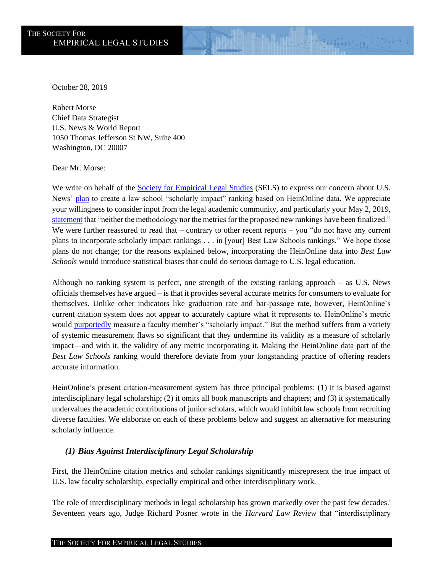October 28, 2019

Robert Morse Chief Data Strategist U.S. News & World Report 1050 Thomas Jefferson St NW, Suite 400 Washington, DC 20007

Dear Mr. Morse:

We write on behalf of the **Society for Empirical Legal Studies** (SELS) to express our concern about U.S. News' [plan](https://www.usnews.com/education/blogs/college-rankings-blog/articles/2019-02-13/us-news-considers-evaluating-law-school-scholarly-impact) to create a law school "scholarly impact" ranking based on HeinOnline data. We appreciate your willingness to consider input from the legal academic community, and particularly your May 2, 2019, [statement](https://www.usnews.com/education/blogs/college-rankings-blog/articles/2019-05-02/us-news-responds-to-the-law-school-community) that "neither the methodology nor the metrics for the proposed new rankings have been finalized." We were further reassured to read that – contrary to other recent reports – you "do not have any current plans to incorporate scholarly impact rankings . . . in [your] Best Law Schools rankings." We hope those plans do not change; for the reasons explained below, incorporating the HeinOnline data into *Best Law Schools* would introduce statistical biases that could do serious damage to U.S. legal education.

 Although no ranking system is perfect, one strength of the existing ranking approach – as U.S. News officials themselves have argued – is that it provides several accurate metrics for consumers to evaluate for themselves. Unlike other indicators like graduation rate and bar-passage rate, however, HeinOnline's current citation system does not appear to accurately capture what it represents to. HeinOnline's metric would [purportedly](https://home.heinonline.org/blog/2019/02/u-s-news-considers-using-heins-scholarcheck-to-evaluate-law-school-scholarly-impact/) measure a faculty member's "scholarly impact." But the method suffers from a variety of systemic measurement flaws so significant that they undermine its validity as a measure of scholarly impact—and with it, the validity of any metric incorporating it. Making the HeinOnline data part of the Best Law Schools ranking would therefore deviate from your longstanding practice of offering readers accurate information.

 HeinOnline's present citation-measurement system has three principal problems: (1) it is biased against undervalues the academic contributions of junior scholars, which would inhibit law schools from recruiting diverse faculties. We elaborate on each of these problems below and suggest an alternative for measuring interdisciplinary legal scholarship; (2) it omits all book manuscripts and chapters; and (3) it systematically scholarly influence.

## *(1) Bias Against Interdisciplinary Legal Scholarship*

 First, the HeinOnline citation metrics and scholar rankings significantly misrepresent the true impact of U.S. law faculty scholarship, especially empirical and other interdisciplinary work.

The role of interdisciplinary methods in legal scholarship has grown markedly over the past few decades.<sup>i</sup> Seventeen years ago, Judge Richard Posner wrote in the *Harvard Law Review* that "interdisciplinary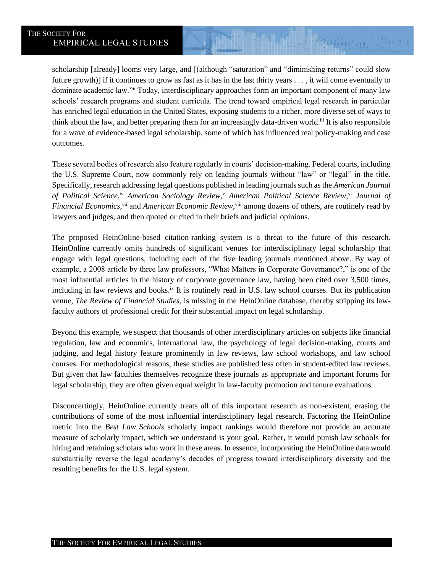scholarship [already] looms very large, and [(although "saturation" and "diminishing returns" could slow future growth)] if it continues to grow as fast as it has in the last thirty years . . . , it will come eventually to schools' research programs and student curricula. The trend toward empirical legal research in particular has enriched legal education in the United States, exposing students to a richer, more diverse set of ways to think about the law, and better preparing them for an increasingly data-driven world.<sup>iii</sup> It is also responsible for a wave of evidence-based legal scholarship, some of which has influenced real policy-making and case dominate academic law."ii Today, interdisciplinary approaches form an important component of many law outcomes.

 These several bodies of research also feature regularly in courts' decision-making. Federal courts, including the U.S. Supreme Court, now commonly rely on leading journals without "law" or "legal" in the title. Specifically, research addressing legal questions published in leading journals such as the *American Journal*  of Political Science,<sup>iv</sup> American Sociology Review,<sup>v</sup> American Political Science Review,<sup>vi</sup> Journal of Financial Economics, vii and *American Economic Review*, viii among dozens of others, are routinely read by lawyers and judges, and then quoted or cited in their briefs and judicial opinions.

 The proposed HeinOnline-based citation-ranking system is a threat to the future of this research. HeinOnline currently omits hundreds of significant venues for interdisciplinary legal scholarship that example, a 2008 article by three law professors, "What Matters in Corporate Governance?," is one of the most influential articles in the history of corporate governance law, having been cited over 3,500 times, including in law reviews and books.<sup>ix</sup> It is routinely read in U.S. law school courses. But its publication  venue, *The Review of Financial Studies*, is missing in the HeinOnline database, thereby stripping its lawengage with legal questions, including each of the five leading journals mentioned above. By way of faculty authors of professional credit for their substantial impact on legal scholarship.

 Beyond this example, we suspect that thousands of other interdisciplinary articles on subjects like financial regulation, law and economics, international law, the psychology of legal decision-making, courts and But given that law faculties themselves recognize these journals as appropriate and important forums for judging, and legal history feature prominently in law reviews, law school workshops, and law school courses. For methodological reasons, these studies are published less often in student-edited law reviews. legal scholarship, they are often given equal weight in law-faculty promotion and tenure evaluations.

 Disconcertingly, HeinOnline currently treats all of this important research as non-existent, erasing the contributions of some of the most influential interdisciplinary legal research. Factoring the HeinOnline metric into the *Best Law Schools* scholarly impact rankings would therefore not provide an accurate measure of scholarly impact, which we understand is your goal. Rather, it would punish law schools for substantially reverse the legal academy's decades of progress toward interdisciplinary diversity and the hiring and retaining scholars who work in these areas. In essence, incorporating the HeinOnline data would resulting benefits for the U.S. legal system.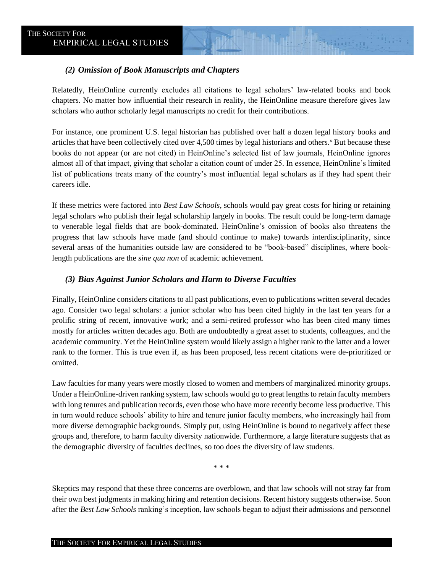## *(2) Omission of Book Manuscripts and Chapters*

 Relatedly, HeinOnline currently excludes all citations to legal scholars' law-related books and book chapters. No matter how influential their research in reality, the HeinOnline measure therefore gives law scholars who author scholarly legal manuscripts no credit for their contributions.

 For instance, one prominent U.S. legal historian has published over half a dozen legal history books and articles that have been collectively cited over 4,500 times by legal historians and others.<sup>x</sup> But because these books do not appear (or are not cited) in HeinOnline's selected list of law journals, HeinOnline ignores almost all of that impact, giving that scholar a citation count of under 25. In essence, HeinOnline's limited list of publications treats many of the country's most influential legal scholars as if they had spent their careers idle.

If these metrics were factored into *Best Law Schools*, schools would pay great costs for hiring or retaining legal scholars who publish their legal scholarship largely in books. The result could be long-term damage to venerable legal fields that are book-dominated. HeinOnline's omission of books also threatens the progress that law schools have made (and should continue to make) towards interdisciplinarity, since several areas of the humanities outside law are considered to be "book-based" disciplines, where booklength publications are the *sine qua non* of academic achievement.

## *(3) Bias Against Junior Scholars and Harm to Diverse Faculties*

 Finally, HeinOnline considers citations to all past publications, even to publications written several decades ago. Consider two legal scholars: a junior scholar who has been cited highly in the last ten years for a prolific string of recent, innovative work; and a semi-retired professor who has been cited many times academic community. Yet the HeinOnline system would likely assign a higher rank to the latter and a lower mostly for articles written decades ago. Both are undoubtedly a great asset to students, colleagues, and the rank to the former. This is true even if, as has been proposed, less recent citations were de-prioritized or omitted.

 Law faculties for many years were mostly closed to women and members of marginalized minority groups. Under a HeinOnline-driven ranking system, law schools would go to great lengths to retain faculty members in turn would reduce schools' ability to hire and tenure junior faculty members, who increasingly hail from more diverse demographic backgrounds. Simply put, using HeinOnline is bound to negatively affect these with long tenures and publication records, even those who have more recently become less productive. This groups and, therefore, to harm faculty diversity nationwide. Furthermore, a large literature suggests that as the demographic diversity of faculties declines, so too does the diversity of law students.

\* \* \*

 Skeptics may respond that these three concerns are overblown, and that law schools will not stray far from their own best judgments in making hiring and retention decisions. Recent history suggests otherwise. Soon after the *Best Law Schools* ranking's inception, law schools began to adjust their admissions and personnel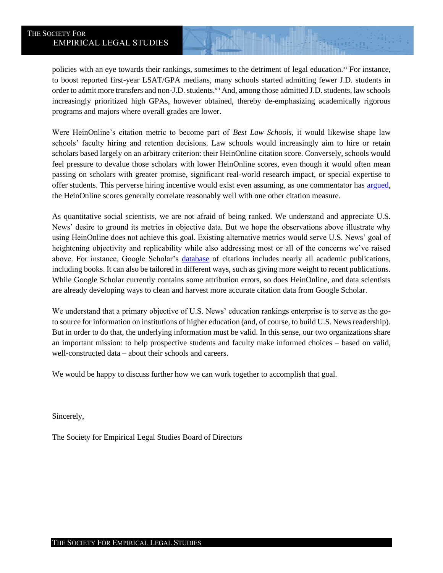<span id="page-3-0"></span>policies with an eye towards their rankings, sometimes to the detriment of legal education.<sup>xi</sup> For instance, to boost reported first-year LSAT/GPA medians, many schools started admitting fewer J.D. students in order to admit more transfers and non-J.D. students.<sup>xii</sup> And, among those admitted J.D. students, law schools increasingly prioritized high GPAs, however obtained, thereby de-emphasizing academically rigorous programs and majors where overall grades are lower.

 Were HeinOnline's citation metric to become part of *Best Law Schools*, it would likewise shape law schools' faculty hiring and retention decisions. Law schools would increasingly aim to hire or retain scholars based largely on an arbitrary criterion: their HeinOnline citation score. Conversely, schools would feel pressure to devalue those scholars with lower HeinOnline scores, even though it would often mean passing on scholars with greater promise, significant real-world research impact, or special expertise to offer students. This perverse hiring incentive would exist even assuming, as one commentator has [argued,](https://taxprof.typepad.com/taxprof_blog/2019/03/sichelman-a-defense-and-explanation-of-the-us-news-citation-ranking.html) the HeinOnline scores generally correlate reasonably well with one other citation measure.

 As quantitative social scientists, we are not afraid of being ranked. We understand and appreciate U.S. News' desire to ground its metrics in objective data. But we hope the observations above illustrate why using HeinOnline does not achieve this goal. Existing alternative metrics would serve U.S. News' goal of heightening objectivity and replicability while also addressing most or all of the concerns we've raised including books. It can also be tailored in different ways, such as giving more weight to recent publications. While Google Scholar currently contains some attribution errors, so does HeinOnline, and data scientists above. For instance, Google Scholar's [database](https://scholar.google.com/intl/en/scholar/about.html) of citations includes nearly all academic publications, are already developing ways to clean and harvest more accurate citation data from Google Scholar.

 We understand that a primary objective of U.S. News' education rankings enterprise is to serve as the go- to source for information on institutions of higher education (and, of course, to build U.S. News readership). But in order to do that, the underlying information must be valid. In this sense, our two organizations share an important mission: to help prospective students and faculty make informed choices – based on valid, well-constructed data – about their schools and careers.

We would be happy to discuss further how we can work together to accomplish that goal.

Sincerely,

The Society for Empirical Legal Studies Board of Directors